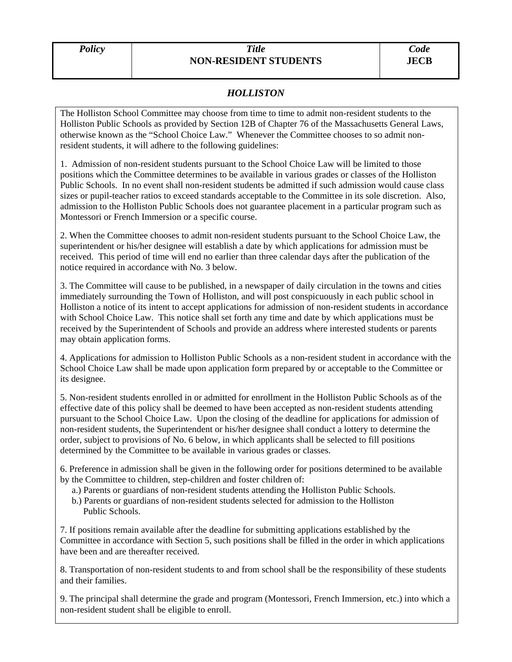## *HOLLISTON*

The Holliston School Committee may choose from time to time to admit non-resident students to the Holliston Public Schools as provided by Section 12B of Chapter 76 of the Massachusetts General Laws, otherwise known as the "School Choice Law." Whenever the Committee chooses to so admit nonresident students, it will adhere to the following guidelines:

1. Admission of non-resident students pursuant to the School Choice Law will be limited to those positions which the Committee determines to be available in various grades or classes of the Holliston Public Schools. In no event shall non-resident students be admitted if such admission would cause class sizes or pupil-teacher ratios to exceed standards acceptable to the Committee in its sole discretion. Also, admission to the Holliston Public Schools does not guarantee placement in a particular program such as Montessori or French Immersion or a specific course.

2. When the Committee chooses to admit non-resident students pursuant to the School Choice Law, the superintendent or his/her designee will establish a date by which applications for admission must be received. This period of time will end no earlier than three calendar days after the publication of the notice required in accordance with No. 3 below.

3. The Committee will cause to be published, in a newspaper of daily circulation in the towns and cities immediately surrounding the Town of Holliston, and will post conspicuously in each public school in Holliston a notice of its intent to accept applications for admission of non-resident students in accordance with School Choice Law. This notice shall set forth any time and date by which applications must be received by the Superintendent of Schools and provide an address where interested students or parents may obtain application forms.

4. Applications for admission to Holliston Public Schools as a non-resident student in accordance with the School Choice Law shall be made upon application form prepared by or acceptable to the Committee or its designee.

5. Non-resident students enrolled in or admitted for enrollment in the Holliston Public Schools as of the effective date of this policy shall be deemed to have been accepted as non-resident students attending pursuant to the School Choice Law. Upon the closing of the deadline for applications for admission of non-resident students, the Superintendent or his/her designee shall conduct a lottery to determine the order, subject to provisions of No. 6 below, in which applicants shall be selected to fill positions determined by the Committee to be available in various grades or classes.

6. Preference in admission shall be given in the following order for positions determined to be available by the Committee to children, step-children and foster children of:

- a.) Parents or guardians of non-resident students attending the Holliston Public Schools.
- b.) Parents or guardians of non-resident students selected for admission to the Holliston Public Schools.

7. If positions remain available after the deadline for submitting applications established by the Committee in accordance with Section 5, such positions shall be filled in the order in which applications have been and are thereafter received.

8. Transportation of non-resident students to and from school shall be the responsibility of these students and their families.

9. The principal shall determine the grade and program (Montessori, French Immersion, etc.) into which a non-resident student shall be eligible to enroll.